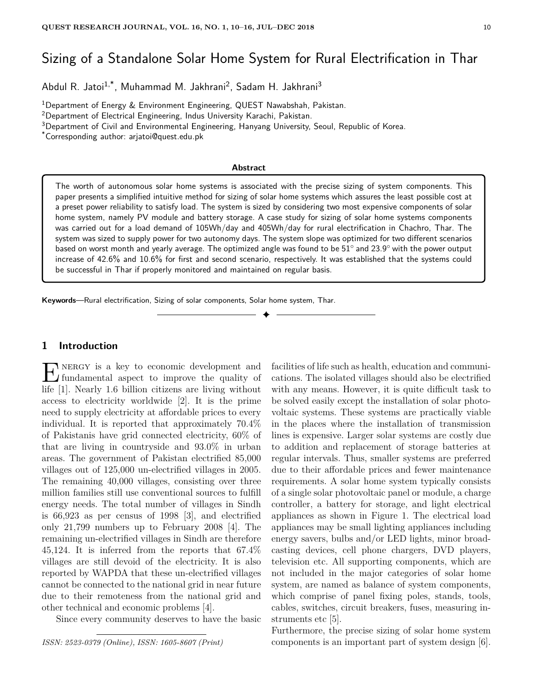# Sizing of a Standalone Solar Home System for Rural Electrification in Thar

Abdul R. Jatoi<sup>1,\*</sup>, Muhammad M. Jakhrani<sup>2</sup>, Sadam H. Jakhrani<sup>3</sup>

<sup>1</sup>Department of Energy & Environment Engineering, QUEST Nawabshah, Pakistan.

<sup>2</sup>Department of Electrical Engineering, Indus University Karachi, Pakistan.

<sup>3</sup>Department of Civil and Environmental Engineering, Hanyang University, Seoul, Republic of Korea.

\*Corresponding author: arjatoi@quest.edu.pk

#### **Abstract**

The worth of autonomous solar home systems is associated with the precise sizing of system components. This paper presents a simplified intuitive method for sizing of solar home systems which assures the least possible cost at a preset power reliability to satisfy load. The system is sized by considering two most expensive components of solar home system, namely PV module and battery storage. A case study for sizing of solar home systems components was carried out for a load demand of 105Wh/day and 405Wh/day for rural electrification in Chachro, Thar. The system was sized to supply power for two autonomy days. The system slope was optimized for two different scenarios based on worst month and yearly average. The optimized angle was found to be  $51^\circ$  and  $23.9^\circ$  with the power output increase of 42.6% and 10.6% for first and second scenario, respectively. It was established that the systems could be successful in Thar if properly monitored and maintained on regular basis.

✦

**Keywords**—Rural electrification, Sizing of solar components, Solar home system, Thar.

## **1 Introduction**

 $\prod_{\text{fundamental aspect to improve the quality of}}$ fundamental aspect to improve the quality of life [1]. Nearly 1.6 billion citizens are living without access to electricity worldwide [2]. It is the prime need to supply electricity at affordable prices to every individual. It is reported that approximately 70.4% of Pakistanis have grid connected electricity, 60% of that are living in countryside and 93.0% in urban areas. The government of Pakistan electrified 85,000 villages out of 125,000 un-electrified villages in 2005. The remaining 40,000 villages, consisting over three million families still use conventional sources to fulfill energy needs. The total number of villages in Sindh is 66,923 as per census of 1998 [3], and electrified only 21,799 numbers up to February 2008 [4]. The remaining un-electrified villages in Sindh are therefore 45,124. It is inferred from the reports that 67.4% villages are still devoid of the electricity. It is also reported by WAPDA that these un-electrified villages cannot be connected to the national grid in near future due to their remoteness from the national grid and other technical and economic problems [4].

Since every community deserves to have the basic

*ISSN: 2523-0379 (Online), ISSN: 1605-8607 (Print)*

facilities of life such as health, education and communications. The isolated villages should also be electrified with any means. However, it is quite difficult task to be solved easily except the installation of solar photovoltaic systems. These systems are practically viable in the places where the installation of transmission lines is expensive. Larger solar systems are costly due to addition and replacement of storage batteries at regular intervals. Thus, smaller systems are preferred due to their affordable prices and fewer maintenance requirements. A solar home system typically consists of a single solar photovoltaic panel or module, a charge controller, a battery for storage, and light electrical appliances as shown in Figure 1. The electrical load appliances may be small lighting appliances including energy savers, bulbs and/or LED lights, minor broadcasting devices, cell phone chargers, DVD players, television etc. All supporting components, which are not included in the major categories of solar home system, are named as balance of system components, which comprise of panel fixing poles, stands, tools, cables, switches, circuit breakers, fuses, measuring instruments etc [5].

Furthermore, the precise sizing of solar home system components is an important part of system design [6].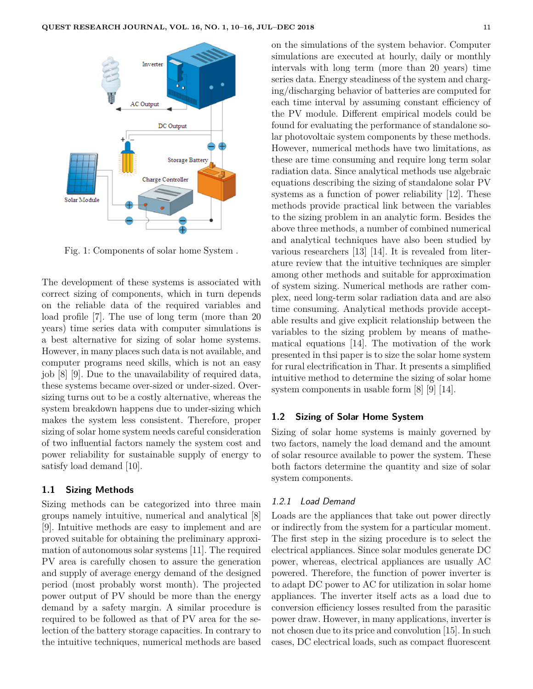

Fig. 1: Components of solar home System .

The development of these systems is associated with correct sizing of components, which in turn depends on the reliable data of the required variables and load profile [7]. The use of long term (more than 20 years) time series data with computer simulations is a best alternative for sizing of solar home systems. However, in many places such data is not available, and computer programs need skills, which is not an easy job [8] [9]. Due to the unavailability of required data, these systems became over-sized or under-sized. Oversizing turns out to be a costly alternative, whereas the system breakdown happens due to under-sizing which makes the system less consistent. Therefore, proper sizing of solar home system needs careful consideration of two influential factors namely the system cost and power reliability for sustainable supply of energy to satisfy load demand [10].

#### **1.1 Sizing Methods**

Sizing methods can be categorized into three main groups namely intuitive, numerical and analytical [8] [9]. Intuitive methods are easy to implement and are proved suitable for obtaining the preliminary approximation of autonomous solar systems [11]. The required PV area is carefully chosen to assure the generation and supply of average energy demand of the designed period (most probably worst month). The projected power output of PV should be more than the energy demand by a safety margin. A similar procedure is required to be followed as that of PV area for the selection of the battery storage capacities. In contrary to the intuitive techniques, numerical methods are based on the simulations of the system behavior. Computer simulations are executed at hourly, daily or monthly intervals with long term (more than 20 years) time series data. Energy steadiness of the system and charging/discharging behavior of batteries are computed for each time interval by assuming constant efficiency of the PV module. Different empirical models could be found for evaluating the performance of standalone solar photovoltaic system components by these methods. However, numerical methods have two limitations, as these are time consuming and require long term solar radiation data. Since analytical methods use algebraic equations describing the sizing of standalone solar PV systems as a function of power reliability [12]. These methods provide practical link between the variables to the sizing problem in an analytic form. Besides the above three methods, a number of combined numerical and analytical techniques have also been studied by various researchers [13] [14]. It is revealed from literature review that the intuitive techniques are simpler among other methods and suitable for approximation of system sizing. Numerical methods are rather complex, need long-term solar radiation data and are also time consuming. Analytical methods provide acceptable results and give explicit relationship between the variables to the sizing problem by means of mathematical equations [14]. The motivation of the work presented in thsi paper is to size the solar home system for rural electrification in Thar. It presents a simplified intuitive method to determine the sizing of solar home system components in usable form [8] [9] [14].

#### **1.2 Sizing of Solar Home System**

Sizing of solar home systems is mainly governed by two factors, namely the load demand and the amount of solar resource available to power the system. These both factors determine the quantity and size of solar system components.

#### 1.2.1 Load Demand

Loads are the appliances that take out power directly or indirectly from the system for a particular moment. The first step in the sizing procedure is to select the electrical appliances. Since solar modules generate DC power, whereas, electrical appliances are usually AC powered. Therefore, the function of power inverter is to adapt DC power to AC for utilization in solar home appliances. The inverter itself acts as a load due to conversion efficiency losses resulted from the parasitic power draw. However, in many applications, inverter is not chosen due to its price and convolution [15]. In such cases, DC electrical loads, such as compact fluorescent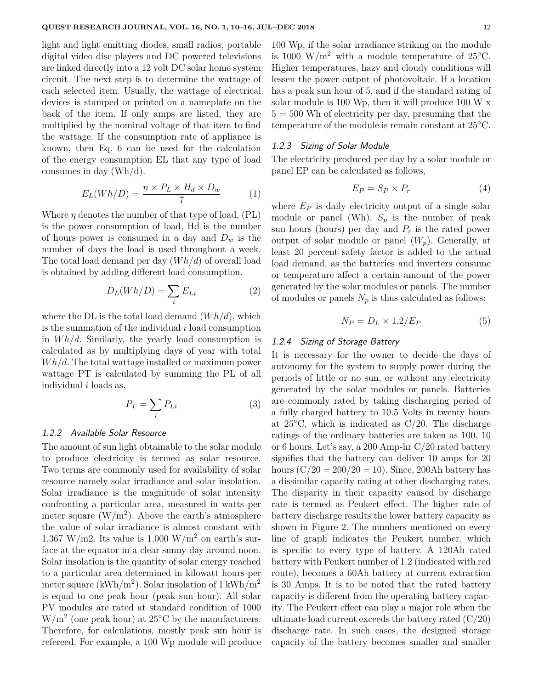light and light emitting diodes, small radios, portable digital video disc players and DC powered televisions are linked directly into a 12 volt DC solar home system circuit. The next step is to determine the wattage of each selected item. Usually, the wattage of electrical devices is stamped or printed on a nameplate on the back of the item. If only amps are listed, they are multiplied by the nominal voltage of that item to find the wattage. If the consumption rate of appliance is known, then Eq. 6 can be used for the calculation of the energy consumption EL that any type of load consumes in day (Wh/d).

$$
E_L(Wh/D) = \frac{n \times P_L \times H_d \times D_w}{7} \tag{1}
$$

Where  $\eta$  denotes the number of that type of load,  $(PL)$ is the power consumption of load, Hd is the number of hours power is consumed in a day and *D<sup>w</sup>* is the number of days the load is used throughout a week. The total load demand per day (*W h/d*) of overall load is obtained by adding different load consumption.

$$
D_L(Wh/D) = \sum_i E_{Li} \tag{2}
$$

where the DL is the total load demand (*W h/d*), which is the summation of the individual *i* load consumption in *W h/d*. Similarly, the yearly load consumption is calculated as by multiplying days of year with total *W h/d*. The total wattage installed or maximum power wattage PT is calculated by summing the PL of all individual *i* loads as,

$$
P_T = \sum_i P_{Li} \tag{3}
$$

#### 1.2.2 Available Solar Resource

The amount of sun light obtainable to the solar module to produce electricity is termed as solar resource. Two terms are commonly used for availability of solar resource namely solar irradiance and solar insolation. Solar irradiance is the magnitude of solar intensity confronting a particular area, measured in watts per meter square  $(W/m^2)$ . Above the earth's atmosphere the value of solar irradiance is almost constant with 1,367 W/m2. Its value is  $1,000$  W/m<sup>2</sup> on earth's surface at the equator in a clear sunny day around noon. Solar insolation is the quantity of solar energy reached to a particular area determined in kilowatt hours per meter square (kWh/m<sup>2</sup>). Solar insolation of 1 kWh/m<sup>2</sup> is equal to one peak hour (peak sun hour). All solar PV modules are rated at standard condition of 1000  $\rm W/m^2$  (one peak hour) at 25 $\rm ^{\circ}C$  by the manufacturers. Therefore, for calculations, mostly peak sun hour is refereed. For example, a 100 Wp module will produce 100 Wp, if the solar irradiance striking on the module is 1000 W/m<sup>2</sup> with a module temperature of 25<sup>°</sup>C. Higher temperatures, hazy and cloudy conditions will lessen the power output of photovoltaic. If a location has a peak sun hour of 5, and if the standard rating of solar module is 100 Wp, then it will produce 100 W x  $5 = 500$  Wh of electricity per day, presuming that the temperature of the module is remain constant at 25◦C.

#### 1.2.3 Sizing of Solar Module

The electricity produced per day by a solar module or panel EP can be calculated as follows,

$$
E_P = S_P \times P_r \tag{4}
$$

where  $E_P$  is daily electricity output of a single solar module or panel (Wh),  $S_p$  is the number of peak sun hours (hours) per day and  $P_r$  is the rated power output of solar module or panel  $(W_n)$ . Generally, at least 20 percent safety factor is added to the actual load demand, as the batteries and inverters consume or temperature affect a certain amount of the power generated by the solar modules or panels. The number of modules or panels  $N_p$  is thus calculated as follows:

$$
N_P = D_L \times 1.2 / E_P \tag{5}
$$

#### 1.2.4 Sizing of Storage Battery

It is necessary for the owner to decide the days of autonomy for the system to supply power during the periods of little or no sun, or without any electricity generated by the solar modules or panels. Batteries are commonly rated by taking discharging period of a fully charged battery to 10.5 Volts in twenty hours at  $25^{\circ}$ C, which is indicated as C/20. The discharge ratings of the ordinary batteries are taken as 100, 10 or 6 hours. Let's say, a 200 Amp-hr C/20 rated battery signifies that the battery can deliver 10 amps for 20 hours  $(C/20 = 200/20 = 10)$ . Since, 200Ah battery has a dissimilar capacity rating at other discharging rates. The disparity in their capacity caused by discharge rate is termed as Peukert effect. The higher rate of battery discharge results the lower battery capacity as shown in Figure 2. The numbers mentioned on every line of graph indicates the Peukert number, which is specific to every type of battery. A 120Ah rated battery with Peukert number of 1.2 (indicated with red route), becomes a 60Ah battery at current extraction is 30 Amps. It is to be noted that the rated battery capacity is different from the operating battery capacity. The Peukert effect can play a major role when the ultimate load current exceeds the battery rated  $(C/20)$ discharge rate. In such cases, the designed storage capacity of the battery becomes smaller and smaller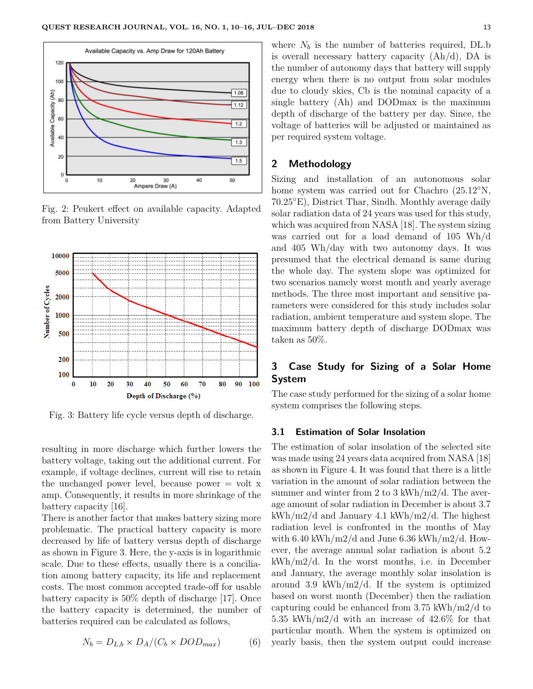

Fig. 2: Peukert effect on available capacity. Adapted from Battery University



Fig. 3: Battery life cycle versus depth of discharge.

resulting in more discharge which further lowers the battery voltage, taking out the additional current. For example, if voltage declines, current will rise to retain the unchanged power level, because power  $=$  volt x amp. Consequently, it results in more shrinkage of the battery capacity [16].

There is another factor that makes battery sizing more problematic. The practical battery capacity is more decreased by life of battery versus depth of discharge as shown in Figure 3. Here, the y-axis is in logarithmic scale. Due to these effects, usually there is a conciliation among battery capacity, its life and replacement costs. The most common accepted trade-off for usable battery capacity is 50% depth of discharge [17]. Once the battery capacity is determined, the number of batteries required can be calculated as follows,

$$
N_b = D_{L,b} \times D_A / (C_b \times DOD_{max}) \tag{6}
$$

where  $N_b$  is the number of batteries required, DL.b is overall necessary battery capacity  $(Ah/d)$ , DA is the number of autonomy days that battery will supply energy when there is no output from solar modules due to cloudy skies, Cb is the nominal capacity of a single battery (Ah) and DODmax is the maximum depth of discharge of the battery per day. Since, the voltage of batteries will be adjusted or maintained as per required system voltage.

#### **2 Methodology**

Sizing and installation of an autonomous solar home system was carried out for Chachro (25.12◦N, 70.25◦E), District Thar, Sindh. Monthly average daily solar radiation data of 24 years was used for this study, which was acquired from NASA [18]. The system sizing was carried out for a load demand of 105 Wh/d and 405 Wh/day with two autonomy days. It was presumed that the electrical demand is same during the whole day. The system slope was optimized for two scenarios namely worst month and yearly average methods. The three most important and sensitive parameters were considered for this study includes solar radiation, ambient temperature and system slope. The maximum battery depth of discharge DODmax was taken as 50%.

# **3 Case Study for Sizing of a Solar Home System**

The case study performed for the sizing of a solar home system comprises the following steps.

#### **3.1 Estimation of Solar Insolation**

The estimation of solar insolation of the selected site was made using 24 years data acquired from NASA [18] as shown in Figure 4. It was found that there is a little variation in the amount of solar radiation between the summer and winter from 2 to 3 kWh/m2/d. The average amount of solar radiation in December is about 3.7 kWh/m2/d and January 4.1 kWh/m2/d. The highest radiation level is confronted in the months of May with  $6.40 \text{ kWh/m2/d}$  and June  $6.36 \text{ kWh/m2/d}$ . However, the average annual solar radiation is about 5.2 kWh/m2/d. In the worst months, i.e. in December and January, the average monthly solar insolation is around 3.9 kWh/m2/d. If the system is optimized based on worst month (December) then the radiation capturing could be enhanced from 3.75 kWh/m2/d to 5.35 kWh/m2/d with an increase of 42.6% for that particular month. When the system is optimized on yearly basis, then the system output could increase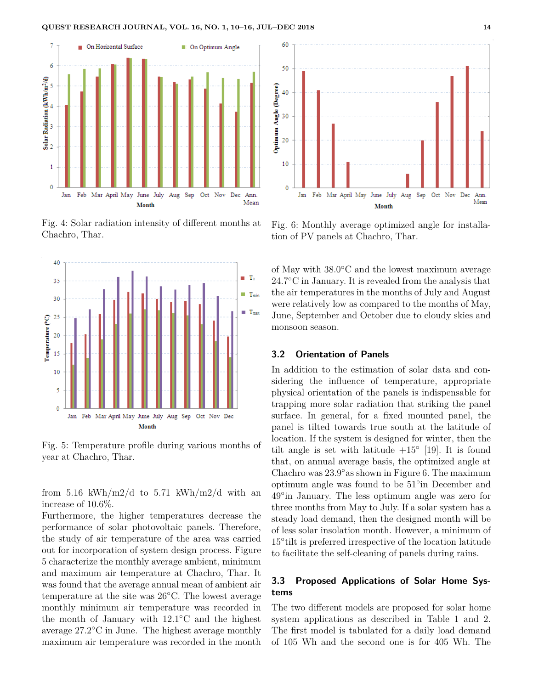

Fig. 4: Solar radiation intensity of different months at Chachro, Thar.



Fig. 5: Temperature profile during various months of year at Chachro, Thar.

from 5.16 kWh/m2/d to 5.71 kWh/m2/d with an increase of 10.6%.

Furthermore, the higher temperatures decrease the performance of solar photovoltaic panels. Therefore, the study of air temperature of the area was carried out for incorporation of system design process. Figure 5 characterize the monthly average ambient, minimum and maximum air temperature at Chachro, Thar. It was found that the average annual mean of ambient air temperature at the site was 26◦C. The lowest average monthly minimum air temperature was recorded in the month of January with 12.1◦C and the highest average 27.2◦C in June. The highest average monthly maximum air temperature was recorded in the month



Fig. 6: Monthly average optimized angle for installation of PV panels at Chachro, Thar.

of May with 38.0◦C and the lowest maximum average 24.7<sup></sup>°C in January. It is revealed from the analysis that the air temperatures in the months of July and August were relatively low as compared to the months of May, June, September and October due to cloudy skies and monsoon season.

## **3.2 Orientation of Panels**

In addition to the estimation of solar data and considering the influence of temperature, appropriate physical orientation of the panels is indispensable for trapping more solar radiation that striking the panel surface. In general, for a fixed mounted panel, the panel is tilted towards true south at the latitude of location. If the system is designed for winter, then the tilt angle is set with latitude  $+15^{\circ}$  [19]. It is found that, on annual average basis, the optimized angle at Chachro was 23.9◦as shown in Figure 6. The maximum optimum angle was found to be 51◦ in December and 49◦ in January. The less optimum angle was zero for three months from May to July. If a solar system has a steady load demand, then the designed month will be of less solar insolation month. However, a minimum of 15◦ tilt is preferred irrespective of the location latitude to facilitate the self-cleaning of panels during rains.

# **3.3 Proposed Applications of Solar Home Systems**

The two different models are proposed for solar home system applications as described in Table 1 and 2. The first model is tabulated for a daily load demand of 105 Wh and the second one is for 405 Wh. The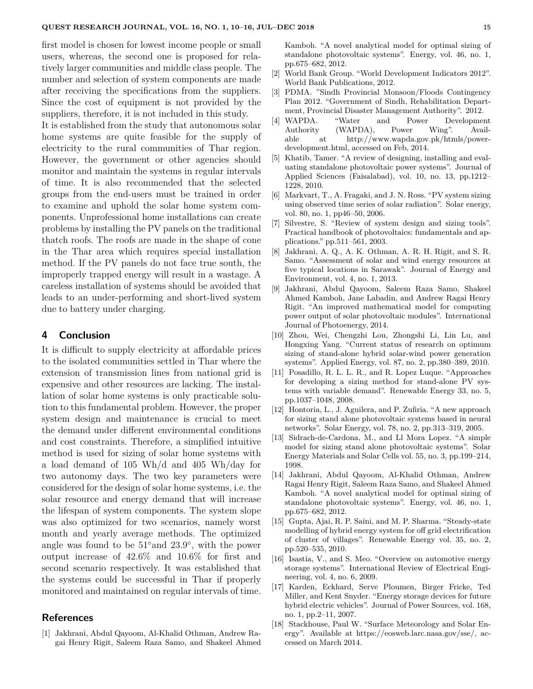first model is chosen for lowest income people or small users, whereas, the second one is proposed for relatively larger communities and middle class people. The number and selection of system components are made after receiving the specifications from the suppliers. Since the cost of equipment is not provided by the suppliers, therefore, it is not included in this study.

It is established from the study that autonomous solar home systems are quite feasible for the supply of electricity to the rural communities of Thar region. However, the government or other agencies should monitor and maintain the systems in regular intervals of time. It is also recommended that the selected groups from the end-users must be trained in order to examine and uphold the solar home system components. Unprofessional home installations can create problems by installing the PV panels on the traditional thatch roofs. The roofs are made in the shape of cone in the Thar area which requires special installation method. If the PV panels do not face true south, the improperly trapped energy will result in a wastage. A careless installation of systems should be avoided that leads to an under-performing and short-lived system due to battery under charging.

#### **4 Conclusion**

It is difficult to supply electricity at affordable prices to the isolated communities settled in Thar where the extension of transmission lines from national grid is expensive and other resources are lacking. The installation of solar home systems is only practicable solution to this fundamental problem. However, the proper system design and maintenance is crucial to meet the demand under different environmental conditions and cost constraints. Therefore, a simplified intuitive method is used for sizing of solar home systems with a load demand of 105 Wh/d and 405 Wh/day for two autonomy days. The two key parameters were considered for the design of solar home systems, i.e. the solar resource and energy demand that will increase the lifespan of system components. The system slope was also optimized for two scenarios, namely worst month and yearly average methods. The optimized angle was found to be  $51°$  and  $23.9°$ , with the power output increase of 42.6% and 10.6% for first and second scenario respectively. It was established that the systems could be successful in Thar if properly monitored and maintained on regular intervals of time.

#### **References**

[1] Jakhrani, Abdul Qayoom, Al-Khalid Othman, Andrew Ragai Henry Rigit, Saleem Raza Samo, and Shakeel Ahmed Kamboh. "A novel analytical model for optimal sizing of standalone photovoltaic systems". Energy, vol. 46, no. 1, pp.675–682, 2012.

- [2] World Bank Group. "World Development Indicators 2012". World Bank Publications, 2012.
- [3] PDMA. "Sindh Provincial Monsoon/Floods Contingency Plan 2012. "Government of Sindh, Rehabilitation Department, Provincial Disaster Management Authority". 2012.
- [4] WAPDA. "Water and Power Development Authority (WAPDA), Power Wing". Available at http://www.wapda.gov.pk/htmls/powerdevelopment.html, accessed on Feb, 2014.
- [5] Khatib, Tamer. "A review of designing, installing and evaluating standalone photovoltaic power systems". Journal of Applied Sciences (Faisalabad), vol. 10, no. 13, pp.1212– 1228, 2010.
- [6] Markvart, T., A. Fragaki, and J. N. Ross. "PV system sizing using observed time series of solar radiation". Solar energy, vol. 80, no. 1, pp46–50, 2006.
- [7] Silvestre, S. "Review of system design and sizing tools". Practical handbook of photovoltaics: fundamentals and applications." pp.511–561, 2003.
- [8] Jakhrani, A. Q., A. K. Othman, A. R. H. Rigit, and S. R. Samo. "Assessment of solar and wind energy resources at five typical locations in Sarawak". Journal of Energy and Environment, vol. 4, no. 1, 2013.
- [9] Jakhrani, Abdul Qayoom, Saleem Raza Samo, Shakeel Ahmed Kamboh, Jane Labadin, and Andrew Ragai Henry Rigit. "An improved mathematical model for computing power output of solar photovoltaic modules". International Journal of Photoenergy, 2014.
- [10] Zhou, Wei, Chengzhi Lou, Zhongshi Li, Lin Lu, and Hongxing Yang. "Current status of research on optimum sizing of stand-alone hybrid solar-wind power generation systems". Applied Energy, vol. 87, no. 2, pp.380–389, 2010.
- [11] Posadillo, R. L. L. R., and R. Lopez Luque. "Approaches for developing a sizing method for stand-alone PV systems with variable demand". Renewable Energy 33, no. 5, pp.1037–1048, 2008.
- [12] Hontoria, L., J. Aguilera, and P. Zufiria. "A new approach for sizing stand alone photovoltaic systems based in neural networks". Solar Energy, vol. 78, no. 2, pp.313–319, 2005.
- [13] Sidrach-de-Cardona, M., and Ll Mora Lopez. "A simple model for sizing stand alone photovoltaic systems". Solar Energy Materials and Solar Cells vol. 55, no. 3, pp.199–214, 1998.
- [14] Jakhrani, Abdul Qayoom, Al-Khalid Othman, Andrew Ragai Henry Rigit, Saleem Raza Samo, and Shakeel Ahmed Kamboh. "A novel analytical model for optimal sizing of standalone photovoltaic systems". Energy, vol. 46, no. 1, pp.675–682, 2012.
- [15] Gupta, Ajai, R. P. Saini, and M. P. Sharma. "Steady-state modelling of hybrid energy system for off grid electrification of cluster of villages". Renewable Energy vol. 35, no. 2, pp.520–535, 2010.
- [16] Isastia, V., and S. Meo. "Overview on automotive energy storage systems". International Review of Electrical Engineering, vol. 4, no. 6, 2009.
- [17] Karden, Eckhard, Serve Ploumen, Birger Fricke, Ted Miller, and Kent Snyder. "Energy storage devices for future hybrid electric vehicles". Journal of Power Sources, vol. 168, no. 1, pp.2–11, 2007.
- [18] Stackhouse, Paul W. "Surface Meteorology and Solar Energy". Available at https://eosweb.larc.nasa.gov/sse/, accessed on March 2014.